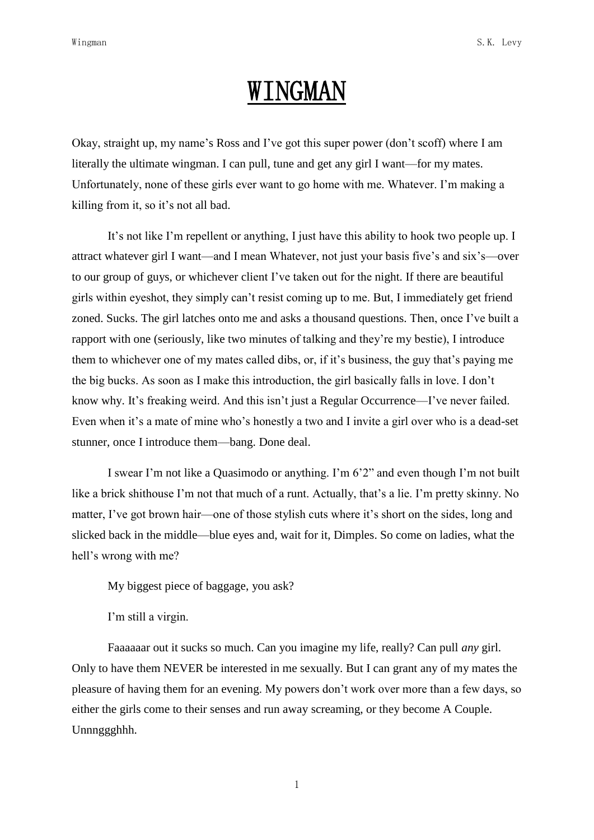## WINGMAN

Okay, straight up, my name"s Ross and I"ve got this super power (don"t scoff) where I am literally the ultimate wingman. I can pull, tune and get any girl I want—for my mates. Unfortunately, none of these girls ever want to go home with me. Whatever. I"m making a killing from it, so it's not all bad.

It's not like I'm repellent or anything, I just have this ability to hook two people up. I attract whatever girl I want—and I mean Whatever, not just your basis five"s and six"s—over to our group of guys, or whichever client I"ve taken out for the night. If there are beautiful girls within eyeshot, they simply can"t resist coming up to me. But, I immediately get friend zoned. Sucks. The girl latches onto me and asks a thousand questions. Then, once I"ve built a rapport with one (seriously, like two minutes of talking and they"re my bestie), I introduce them to whichever one of my mates called dibs, or, if it's business, the guy that's paying me the big bucks. As soon as I make this introduction, the girl basically falls in love. I don"t know why. It's freaking weird. And this isn't just a Regular Occurrence—I've never failed. Even when it's a mate of mine who's honestly a two and I invite a girl over who is a dead-set stunner, once I introduce them—bang. Done deal.

I swear I'm not like a Quasimodo or anything. I'm 6'2" and even though I'm not built like a brick shithouse I'm not that much of a runt. Actually, that's a lie. I'm pretty skinny. No matter, I've got brown hair—one of those stylish cuts where it's short on the sides, long and slicked back in the middle—blue eyes and, wait for it, Dimples. So come on ladies, what the hell's wrong with me?

My biggest piece of baggage, you ask?

I'm still a virgin.

Faaaaaar out it sucks so much. Can you imagine my life, really? Can pull *any* girl. Only to have them NEVER be interested in me sexually. But I can grant any of my mates the pleasure of having them for an evening. My powers don"t work over more than a few days, so either the girls come to their senses and run away screaming, or they become A Couple. Unnnggghhh.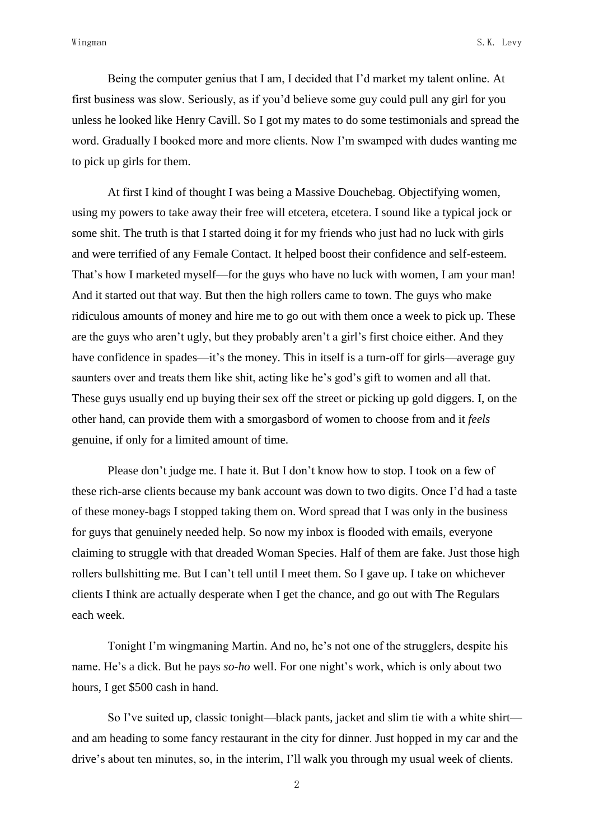Being the computer genius that I am, I decided that I"d market my talent online. At first business was slow. Seriously, as if you"d believe some guy could pull any girl for you unless he looked like Henry Cavill. So I got my mates to do some testimonials and spread the word. Gradually I booked more and more clients. Now I"m swamped with dudes wanting me to pick up girls for them.

At first I kind of thought I was being a Massive Douchebag. Objectifying women, using my powers to take away their free will etcetera, etcetera. I sound like a typical jock or some shit. The truth is that I started doing it for my friends who just had no luck with girls and were terrified of any Female Contact. It helped boost their confidence and self-esteem. That's how I marketed myself—for the guys who have no luck with women, I am your man! And it started out that way. But then the high rollers came to town. The guys who make ridiculous amounts of money and hire me to go out with them once a week to pick up. These are the guys who aren't ugly, but they probably aren't a girl's first choice either. And they have confidence in spades—it's the money. This in itself is a turn-off for girls—average guy saunters over and treats them like shit, acting like he's god's gift to women and all that. These guys usually end up buying their sex off the street or picking up gold diggers. I, on the other hand, can provide them with a smorgasbord of women to choose from and it *feels* genuine, if only for a limited amount of time.

Please don"t judge me. I hate it. But I don"t know how to stop. I took on a few of these rich-arse clients because my bank account was down to two digits. Once I"d had a taste of these money-bags I stopped taking them on. Word spread that I was only in the business for guys that genuinely needed help. So now my inbox is flooded with emails, everyone claiming to struggle with that dreaded Woman Species. Half of them are fake. Just those high rollers bullshitting me. But I can"t tell until I meet them. So I gave up. I take on whichever clients I think are actually desperate when I get the chance, and go out with The Regulars each week.

Tonight I"m wingmaning Martin. And no, he"s not one of the strugglers, despite his name. He's a dick. But he pays *so-ho* well. For one night's work, which is only about two hours, I get \$500 cash in hand.

So I"ve suited up, classic tonight—black pants, jacket and slim tie with a white shirt and am heading to some fancy restaurant in the city for dinner. Just hopped in my car and the drive"s about ten minutes, so, in the interim, I"ll walk you through my usual week of clients.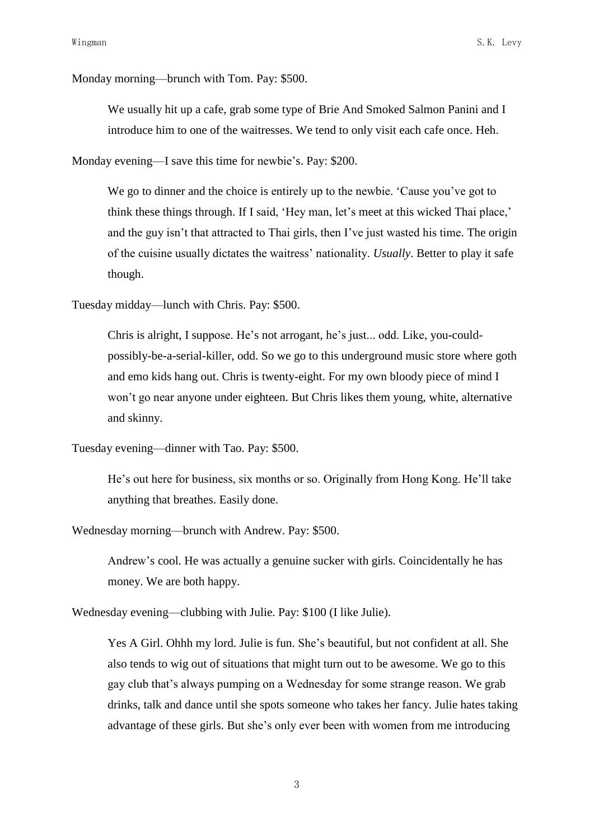Monday morning—brunch with Tom. Pay: \$500.

We usually hit up a cafe, grab some type of Brie And Smoked Salmon Panini and I introduce him to one of the waitresses. We tend to only visit each cafe once. Heh.

Monday evening—I save this time for newbie's. Pay: \$200.

We go to dinner and the choice is entirely up to the newbie. 'Cause you've got to think these things through. If I said, 'Hey man, let's meet at this wicked Thai place,' and the guy isn't that attracted to Thai girls, then I've just wasted his time. The origin of the cuisine usually dictates the waitress" nationality. *Usually*. Better to play it safe though.

Tuesday midday—lunch with Chris. Pay: \$500.

Chris is alright, I suppose. He"s not arrogant, he"s just... odd. Like, you-couldpossibly-be-a-serial-killer, odd. So we go to this underground music store where goth and emo kids hang out. Chris is twenty-eight. For my own bloody piece of mind I won"t go near anyone under eighteen. But Chris likes them young, white, alternative and skinny.

```
Tuesday evening—dinner with Tao. Pay: $500.
```
He"s out here for business, six months or so. Originally from Hong Kong. He"ll take anything that breathes. Easily done.

Wednesday morning—brunch with Andrew. Pay: \$500.

Andrew"s cool. He was actually a genuine sucker with girls. Coincidentally he has money. We are both happy.

Wednesday evening—clubbing with Julie. Pay: \$100 (I like Julie).

Yes A Girl. Ohhh my lord. Julie is fun. She's beautiful, but not confident at all. She also tends to wig out of situations that might turn out to be awesome. We go to this gay club that"s always pumping on a Wednesday for some strange reason. We grab drinks, talk and dance until she spots someone who takes her fancy. Julie hates taking advantage of these girls. But she"s only ever been with women from me introducing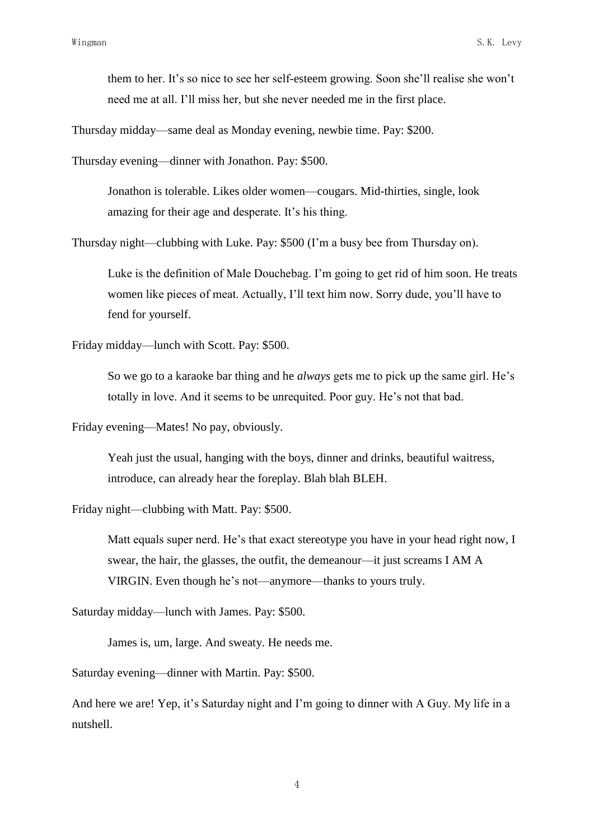them to her. It's so nice to see her self-esteem growing. Soon she'll realise she won't need me at all. I"ll miss her, but she never needed me in the first place.

Thursday midday—same deal as Monday evening, newbie time. Pay: \$200.

Thursday evening—dinner with Jonathon. Pay: \$500.

Jonathon is tolerable. Likes older women—cougars. Mid-thirties, single, look amazing for their age and desperate. It's his thing.

Thursday night—clubbing with Luke. Pay: \$500 (I"m a busy bee from Thursday on).

Luke is the definition of Male Douchebag. I"m going to get rid of him soon. He treats women like pieces of meat. Actually, I"ll text him now. Sorry dude, you"ll have to fend for yourself.

Friday midday—lunch with Scott. Pay: \$500.

So we go to a karaoke bar thing and he *always* gets me to pick up the same girl. He"s totally in love. And it seems to be unrequited. Poor guy. He"s not that bad.

Friday evening—Mates! No pay, obviously.

Yeah just the usual, hanging with the boys, dinner and drinks, beautiful waitress, introduce, can already hear the foreplay. Blah blah BLEH.

Friday night—clubbing with Matt. Pay: \$500.

Matt equals super nerd. He's that exact stereotype you have in your head right now, I swear, the hair, the glasses, the outfit, the demeanour—it just screams I AM A VIRGIN. Even though he"s not—anymore—thanks to yours truly.

Saturday midday—lunch with James. Pay: \$500.

James is, um, large. And sweaty. He needs me.

Saturday evening—dinner with Martin. Pay: \$500.

And here we are! Yep, it's Saturday night and I'm going to dinner with A Guy. My life in a nutshell.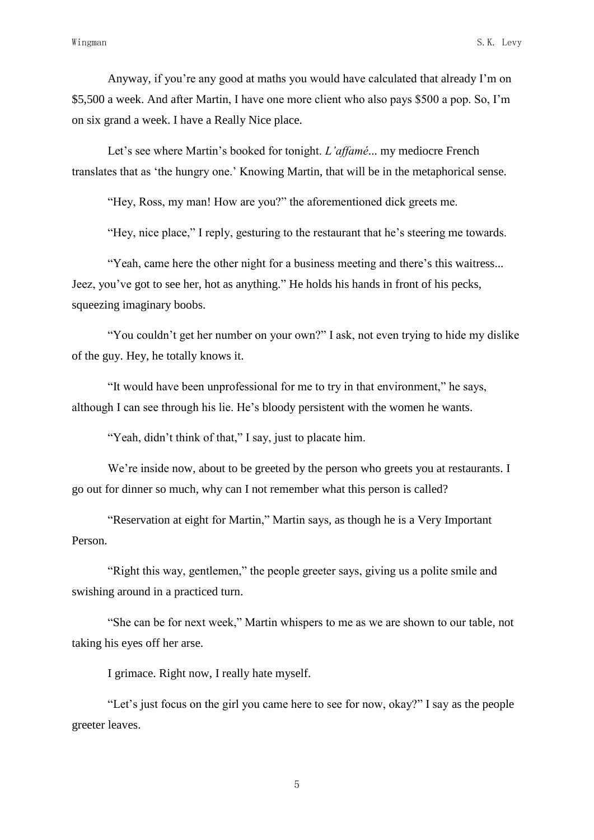Anyway, if you"re any good at maths you would have calculated that already I"m on \$5,500 a week. And after Martin, I have one more client who also pays \$500 a pop. So, I"m on six grand a week. I have a Really Nice place.

Let's see where Martin's booked for tonight. *L'affamé*... my mediocre French translates that as "the hungry one." Knowing Martin, that will be in the metaphorical sense.

"Hey, Ross, my man! How are you?" the aforementioned dick greets me.

"Hey, nice place," I reply, gesturing to the restaurant that he"s steering me towards.

"Yeah, came here the other night for a business meeting and there"s this waitress... Jeez, you"ve got to see her, hot as anything." He holds his hands in front of his pecks, squeezing imaginary boobs.

"You couldn"t get her number on your own?" I ask, not even trying to hide my dislike of the guy. Hey, he totally knows it.

"It would have been unprofessional for me to try in that environment," he says, although I can see through his lie. He"s bloody persistent with the women he wants.

"Yeah, didn't think of that," I say, just to placate him.

We're inside now, about to be greeted by the person who greets you at restaurants. I go out for dinner so much, why can I not remember what this person is called?

"Reservation at eight for Martin," Martin says, as though he is a Very Important Person.

"Right this way, gentlemen," the people greeter says, giving us a polite smile and swishing around in a practiced turn.

"She can be for next week," Martin whispers to me as we are shown to our table, not taking his eyes off her arse.

I grimace. Right now, I really hate myself.

"Let's just focus on the girl you came here to see for now, okay?" I say as the people greeter leaves.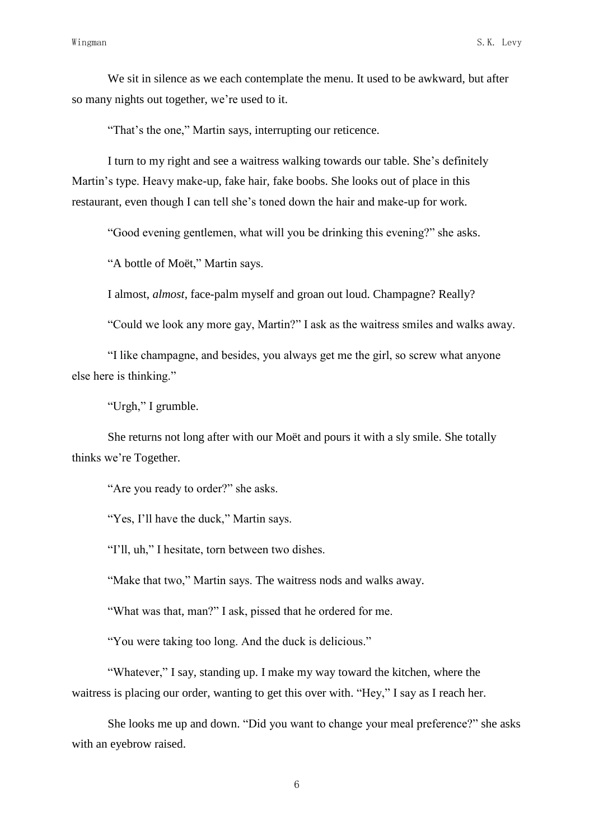We sit in silence as we each contemplate the menu. It used to be awkward, but after so many nights out together, we"re used to it.

"That's the one," Martin says, interrupting our reticence.

I turn to my right and see a waitress walking towards our table. She"s definitely Martin's type. Heavy make-up, fake hair, fake boobs. She looks out of place in this restaurant, even though I can tell she"s toned down the hair and make-up for work.

"Good evening gentlemen, what will you be drinking this evening?" she asks.

"A bottle of Moët," Martin says.

I almost, *almost*, face-palm myself and groan out loud. Champagne? Really?

"Could we look any more gay, Martin?" I ask as the waitress smiles and walks away.

"I like champagne, and besides, you always get me the girl, so screw what anyone else here is thinking."

"Urgh," I grumble.

She returns not long after with our Moët and pours it with a sly smile. She totally thinks we"re Together.

"Are you ready to order?" she asks.

"Yes, I"ll have the duck," Martin says.

"I'll, uh," I hesitate, torn between two dishes.

"Make that two," Martin says. The waitress nods and walks away.

"What was that, man?" I ask, pissed that he ordered for me.

"You were taking too long. And the duck is delicious."

"Whatever," I say, standing up. I make my way toward the kitchen, where the waitress is placing our order, wanting to get this over with. "Hey," I say as I reach her.

She looks me up and down. "Did you want to change your meal preference?" she asks with an eyebrow raised.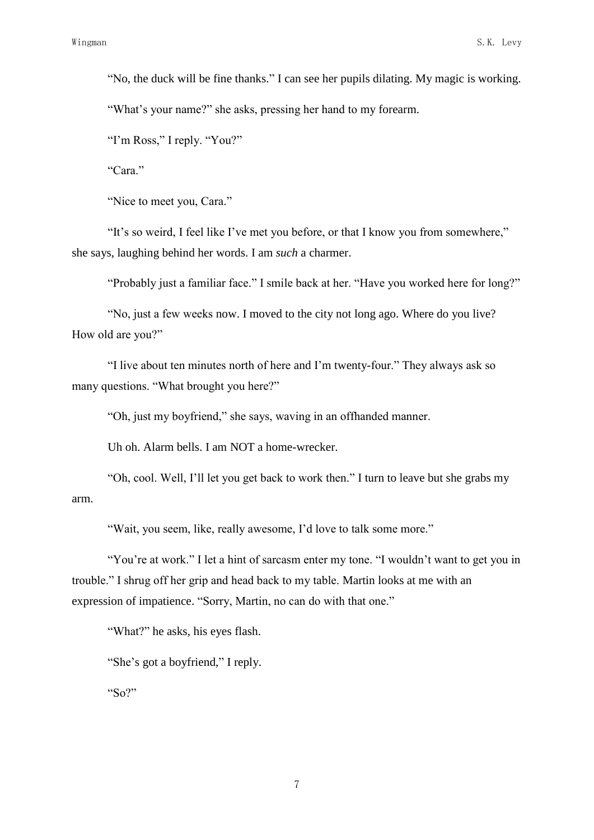"No, the duck will be fine thanks." I can see her pupils dilating. My magic is working. "What's your name?" she asks, pressing her hand to my forearm.

"I'm Ross," I reply. "You?"

"Cara"

"Nice to meet you, Cara."

"It"s so weird, I feel like I"ve met you before, or that I know you from somewhere," she says, laughing behind her words. I am *such* a charmer.

"Probably just a familiar face." I smile back at her. "Have you worked here for long?"

"No, just a few weeks now. I moved to the city not long ago. Where do you live? How old are you?"

"I live about ten minutes north of here and I"m twenty-four." They always ask so many questions. "What brought you here?"

"Oh, just my boyfriend," she says, waving in an offhanded manner.

Uh oh. Alarm bells. I am NOT a home-wrecker.

"Oh, cool. Well, I"ll let you get back to work then." I turn to leave but she grabs my arm.

"Wait, you seem, like, really awesome, I"d love to talk some more."

"You're at work." I let a hint of sarcasm enter my tone. "I wouldn't want to get you in trouble." I shrug off her grip and head back to my table. Martin looks at me with an expression of impatience. "Sorry, Martin, no can do with that one."

"What?" he asks, his eyes flash.

"She"s got a boyfriend," I reply.

"So?"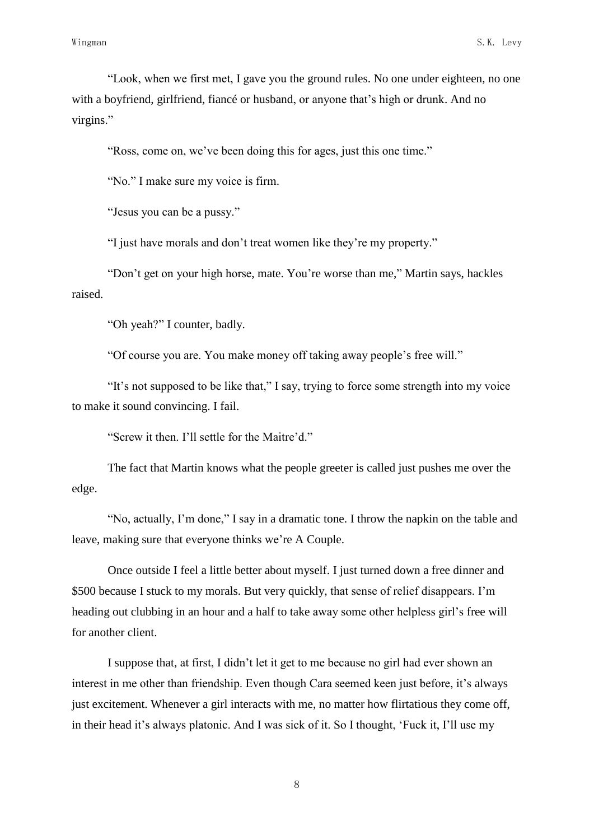"Look, when we first met, I gave you the ground rules. No one under eighteen, no one with a boyfriend, girlfriend, fiance or husband, or anyone that's high or drunk. And no virgins."

"Ross, come on, we"ve been doing this for ages, just this one time."

"No." I make sure my voice is firm.

"Jesus you can be a pussy."

"I just have morals and don"t treat women like they"re my property."

"Don"t get on your high horse, mate. You"re worse than me," Martin says, hackles raised.

"Oh yeah?" I counter, badly.

"Of course you are. You make money off taking away people"s free will."

"It"s not supposed to be like that," I say, trying to force some strength into my voice to make it sound convincing. I fail.

"Screw it then. I'll settle for the Maitre'd."

The fact that Martin knows what the people greeter is called just pushes me over the edge.

"No, actually, I"m done," I say in a dramatic tone. I throw the napkin on the table and leave, making sure that everyone thinks we're A Couple.

Once outside I feel a little better about myself. I just turned down a free dinner and \$500 because I stuck to my morals. But very quickly, that sense of relief disappears. I'm heading out clubbing in an hour and a half to take away some other helpless girl"s free will for another client.

I suppose that, at first, I didn"t let it get to me because no girl had ever shown an interest in me other than friendship. Even though Cara seemed keen just before, it's always just excitement. Whenever a girl interacts with me, no matter how flirtatious they come off, in their head it's always platonic. And I was sick of it. So I thought, 'Fuck it, I'll use my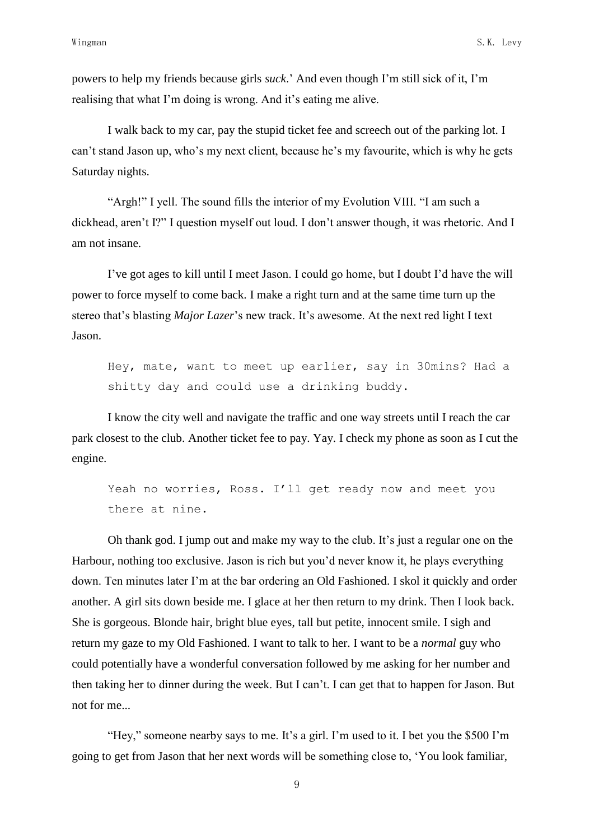powers to help my friends because girls *suck*." And even though I"m still sick of it, I"m realising that what I'm doing is wrong. And it's eating me alive.

I walk back to my car, pay the stupid ticket fee and screech out of the parking lot. I can"t stand Jason up, who"s my next client, because he"s my favourite, which is why he gets Saturday nights.

"Argh!" I yell. The sound fills the interior of my Evolution VIII. "I am such a dickhead, aren"t I?" I question myself out loud. I don"t answer though, it was rhetoric. And I am not insane.

I"ve got ages to kill until I meet Jason. I could go home, but I doubt I"d have the will power to force myself to come back. I make a right turn and at the same time turn up the stereo that's blasting *Major Lazer*'s new track. It's awesome. At the next red light I text Jason.

Hey, mate, want to meet up earlier, say in 30mins? Had a shitty day and could use a drinking buddy.

I know the city well and navigate the traffic and one way streets until I reach the car park closest to the club. Another ticket fee to pay. Yay. I check my phone as soon as I cut the engine.

Yeah no worries, Ross. I'll get ready now and meet you there at nine.

Oh thank god. I jump out and make my way to the club. It's just a regular one on the Harbour, nothing too exclusive. Jason is rich but you"d never know it, he plays everything down. Ten minutes later I"m at the bar ordering an Old Fashioned. I skol it quickly and order another. A girl sits down beside me. I glace at her then return to my drink. Then I look back. She is gorgeous. Blonde hair, bright blue eyes, tall but petite, innocent smile. I sigh and return my gaze to my Old Fashioned. I want to talk to her. I want to be a *normal* guy who could potentially have a wonderful conversation followed by me asking for her number and then taking her to dinner during the week. But I can"t. I can get that to happen for Jason. But not for me...

"Hey," someone nearby says to me. It's a girl. I'm used to it. I bet you the \$500 I'm going to get from Jason that her next words will be something close to, "You look familiar,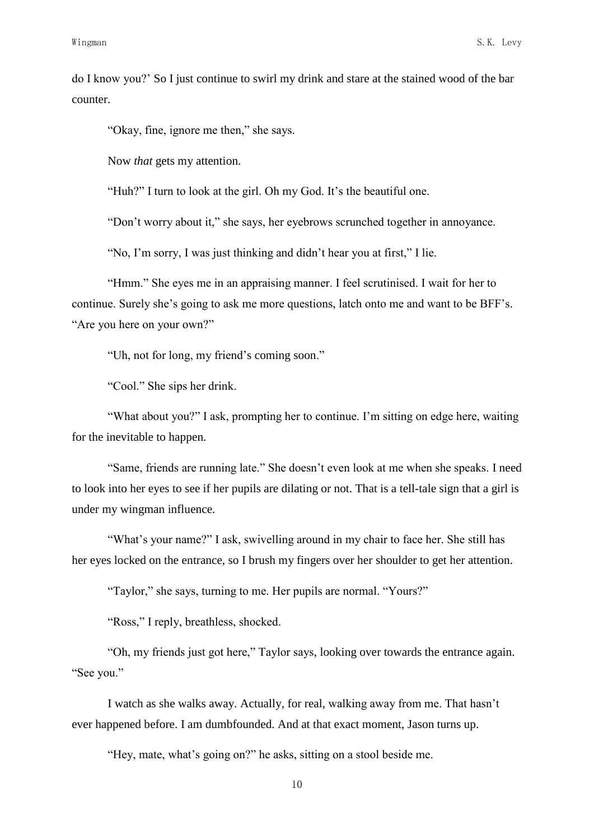do I know you?" So I just continue to swirl my drink and stare at the stained wood of the bar counter.

"Okay, fine, ignore me then," she says.

Now *that* gets my attention.

"Huh?" I turn to look at the girl. Oh my God. It's the beautiful one.

"Don"t worry about it," she says, her eyebrows scrunched together in annoyance.

"No, I"m sorry, I was just thinking and didn"t hear you at first," I lie.

"Hmm." She eyes me in an appraising manner. I feel scrutinised. I wait for her to continue. Surely she"s going to ask me more questions, latch onto me and want to be BFF"s. "Are you here on your own?"

"Uh, not for long, my friend"s coming soon."

"Cool." She sips her drink.

"What about you?" I ask, prompting her to continue. I"m sitting on edge here, waiting for the inevitable to happen.

"Same, friends are running late." She doesn"t even look at me when she speaks. I need to look into her eyes to see if her pupils are dilating or not. That is a tell-tale sign that a girl is under my wingman influence.

"What's your name?" I ask, swivelling around in my chair to face her. She still has her eyes locked on the entrance, so I brush my fingers over her shoulder to get her attention.

"Taylor," she says, turning to me. Her pupils are normal. "Yours?"

"Ross," I reply, breathless, shocked.

"Oh, my friends just got here," Taylor says, looking over towards the entrance again. "See you."

I watch as she walks away. Actually, for real, walking away from me. That hasn"t ever happened before. I am dumbfounded. And at that exact moment, Jason turns up.

"Hey, mate, what"s going on?" he asks, sitting on a stool beside me.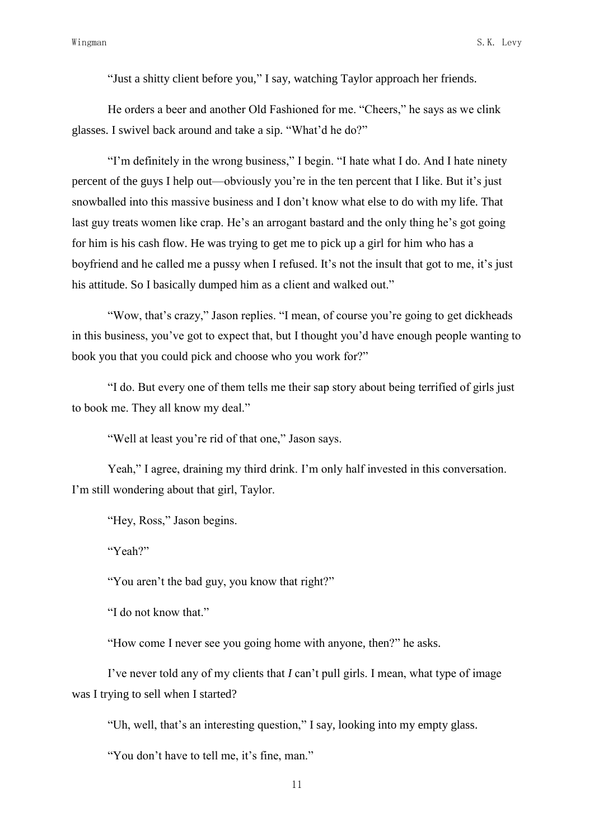"Just a shitty client before you," I say, watching Taylor approach her friends.

He orders a beer and another Old Fashioned for me. "Cheers," he says as we clink glasses. I swivel back around and take a sip. "What"d he do?"

"I"m definitely in the wrong business," I begin. "I hate what I do. And I hate ninety percent of the guys I help out—obviously you"re in the ten percent that I like. But it"s just snowballed into this massive business and I don"t know what else to do with my life. That last guy treats women like crap. He's an arrogant bastard and the only thing he's got going for him is his cash flow. He was trying to get me to pick up a girl for him who has a boyfriend and he called me a pussy when I refused. It's not the insult that got to me, it's just his attitude. So I basically dumped him as a client and walked out."

"Wow, that"s crazy," Jason replies. "I mean, of course you"re going to get dickheads in this business, you"ve got to expect that, but I thought you"d have enough people wanting to book you that you could pick and choose who you work for?"

"I do. But every one of them tells me their sap story about being terrified of girls just to book me. They all know my deal."

"Well at least you"re rid of that one," Jason says.

Yeah," I agree, draining my third drink. I'm only half invested in this conversation. I"m still wondering about that girl, Taylor.

"Hey, Ross," Jason begins.

"Yeah?"

"You aren"t the bad guy, you know that right?"

"I do not know that."

"How come I never see you going home with anyone, then?" he asks.

I've never told any of my clients that *I* can't pull girls. I mean, what type of image was I trying to sell when I started?

"Uh, well, that"s an interesting question," I say, looking into my empty glass.

"You don't have to tell me, it's fine, man."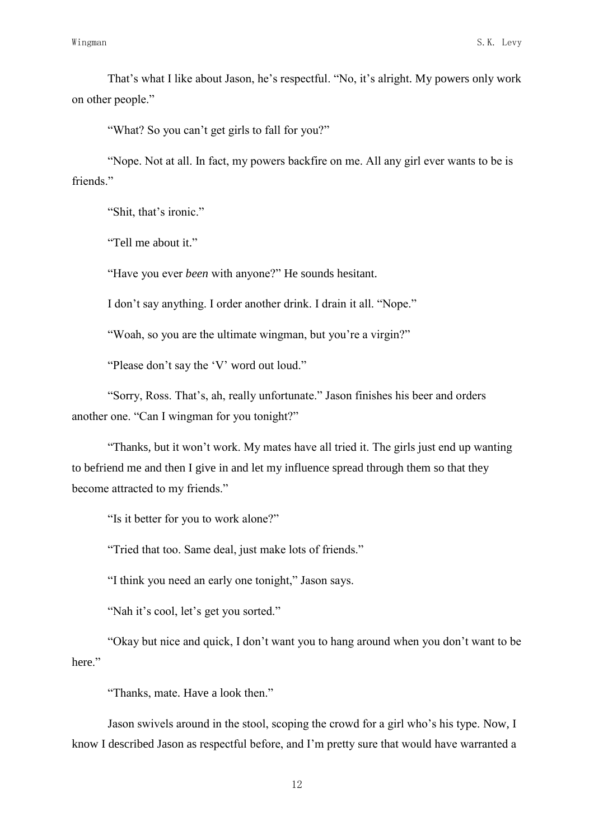That's what I like about Jason, he's respectful. "No, it's alright. My powers only work on other people."

"What? So you can"t get girls to fall for you?"

"Nope. Not at all. In fact, my powers backfire on me. All any girl ever wants to be is friends."

"Shit, that's ironic."

"Tell me about it."

"Have you ever *been* with anyone?" He sounds hesitant.

I don"t say anything. I order another drink. I drain it all. "Nope."

"Woah, so you are the ultimate wingman, but you"re a virgin?"

"Please don't say the 'V' word out loud."

"Sorry, Ross. That"s, ah, really unfortunate." Jason finishes his beer and orders another one. "Can I wingman for you tonight?"

"Thanks, but it won"t work. My mates have all tried it. The girls just end up wanting to befriend me and then I give in and let my influence spread through them so that they become attracted to my friends."

"Is it better for you to work alone?"

"Tried that too. Same deal, just make lots of friends."

"I think you need an early one tonight," Jason says.

"Nah it's cool, let's get you sorted."

"Okay but nice and quick, I don"t want you to hang around when you don"t want to be here."

"Thanks, mate. Have a look then."

Jason swivels around in the stool, scoping the crowd for a girl who"s his type. Now, I know I described Jason as respectful before, and I"m pretty sure that would have warranted a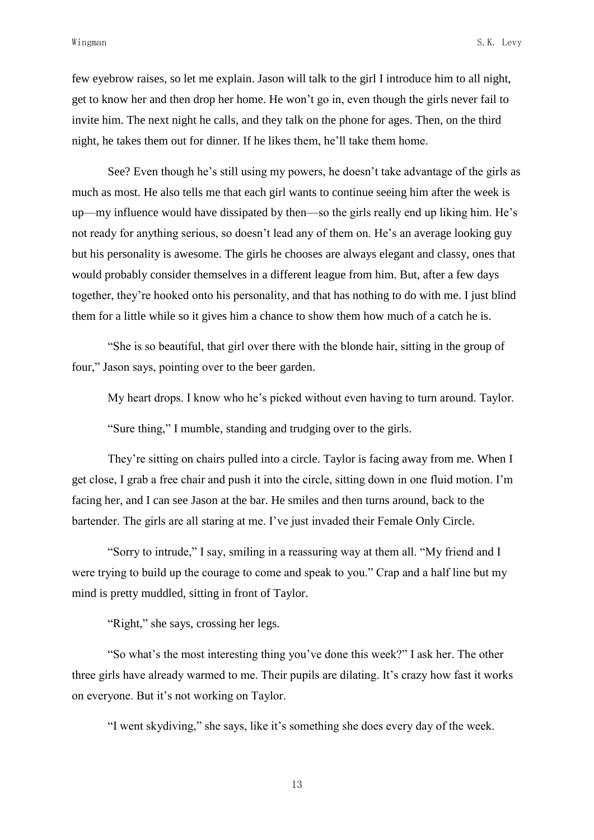few eyebrow raises, so let me explain. Jason will talk to the girl I introduce him to all night, get to know her and then drop her home. He won"t go in, even though the girls never fail to invite him. The next night he calls, and they talk on the phone for ages. Then, on the third night, he takes them out for dinner. If he likes them, he"ll take them home.

See? Even though he's still using my powers, he doesn't take advantage of the girls as much as most. He also tells me that each girl wants to continue seeing him after the week is up—my influence would have dissipated by then—so the girls really end up liking him. He"s not ready for anything serious, so doesn't lead any of them on. He's an average looking guy but his personality is awesome. The girls he chooses are always elegant and classy, ones that would probably consider themselves in a different league from him. But, after a few days together, they"re hooked onto his personality, and that has nothing to do with me. I just blind them for a little while so it gives him a chance to show them how much of a catch he is.

"She is so beautiful, that girl over there with the blonde hair, sitting in the group of four," Jason says, pointing over to the beer garden.

My heart drops. I know who he's picked without even having to turn around. Taylor.

"Sure thing," I mumble, standing and trudging over to the girls.

They"re sitting on chairs pulled into a circle. Taylor is facing away from me. When I get close, I grab a free chair and push it into the circle, sitting down in one fluid motion. I"m facing her, and I can see Jason at the bar. He smiles and then turns around, back to the bartender. The girls are all staring at me. I've just invaded their Female Only Circle.

"Sorry to intrude," I say, smiling in a reassuring way at them all. "My friend and I were trying to build up the courage to come and speak to you." Crap and a half line but my mind is pretty muddled, sitting in front of Taylor.

"Right," she says, crossing her legs.

"So what"s the most interesting thing you"ve done this week?" I ask her. The other three girls have already warmed to me. Their pupils are dilating. It's crazy how fast it works on everyone. But it"s not working on Taylor.

"I went skydiving," she says, like it"s something she does every day of the week.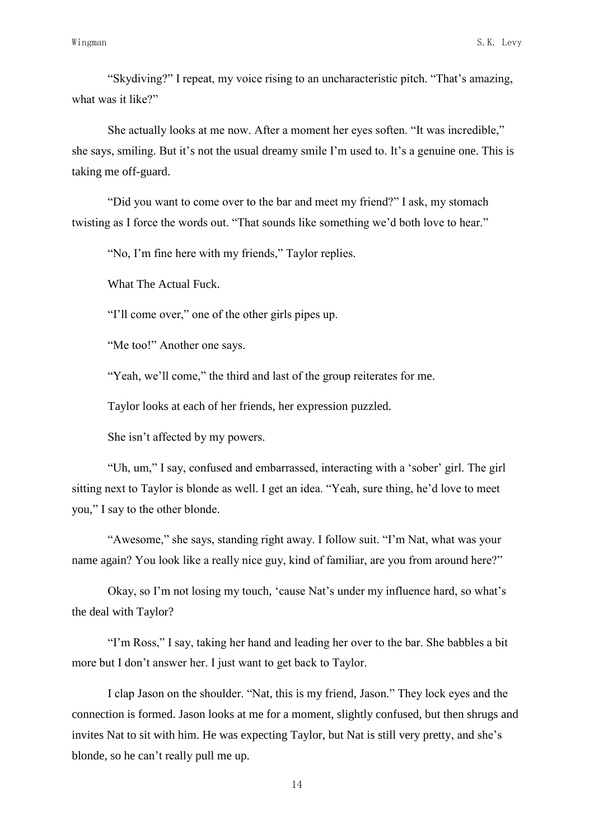"Skydiving?" I repeat, my voice rising to an uncharacteristic pitch. "That"s amazing, what was it like?"

She actually looks at me now. After a moment her eyes soften. "It was incredible," she says, smiling. But it's not the usual dreamy smile I'm used to. It's a genuine one. This is taking me off-guard.

"Did you want to come over to the bar and meet my friend?" I ask, my stomach twisting as I force the words out. "That sounds like something we"d both love to hear."

"No, I"m fine here with my friends," Taylor replies.

What The Actual Fuck.

"I"ll come over," one of the other girls pipes up.

"Me too!" Another one says.

"Yeah, we'll come," the third and last of the group reiterates for me.

Taylor looks at each of her friends, her expression puzzled.

She isn"t affected by my powers.

"Uh, um," I say, confused and embarrassed, interacting with a "sober" girl. The girl sitting next to Taylor is blonde as well. I get an idea. "Yeah, sure thing, he'd love to meet you," I say to the other blonde.

"Awesome," she says, standing right away. I follow suit. "I"m Nat, what was your name again? You look like a really nice guy, kind of familiar, are you from around here?"

Okay, so I"m not losing my touch, "cause Nat"s under my influence hard, so what"s the deal with Taylor?

"I"m Ross," I say, taking her hand and leading her over to the bar. She babbles a bit more but I don"t answer her. I just want to get back to Taylor.

I clap Jason on the shoulder. "Nat, this is my friend, Jason." They lock eyes and the connection is formed. Jason looks at me for a moment, slightly confused, but then shrugs and invites Nat to sit with him. He was expecting Taylor, but Nat is still very pretty, and she"s blonde, so he can"t really pull me up.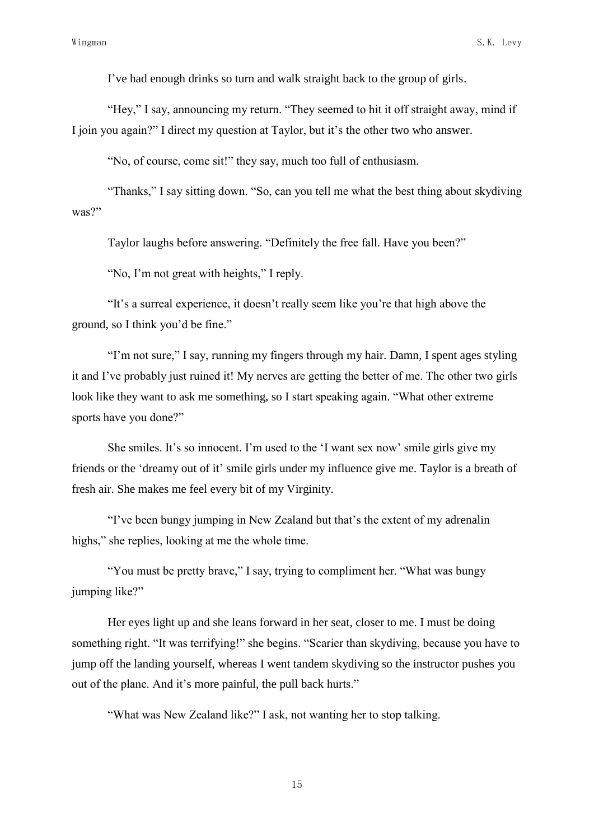I"ve had enough drinks so turn and walk straight back to the group of girls.

"Hey," I say, announcing my return. "They seemed to hit it off straight away, mind if I join you again?" I direct my question at Taylor, but it"s the other two who answer.

"No, of course, come sit!" they say, much too full of enthusiasm.

"Thanks," I say sitting down. "So, can you tell me what the best thing about skydiving was?"

Taylor laughs before answering. "Definitely the free fall. Have you been?"

"No, I"m not great with heights," I reply.

"It's a surreal experience, it doesn't really seem like you're that high above the ground, so I think you"d be fine."

"I"m not sure," I say, running my fingers through my hair. Damn, I spent ages styling it and I"ve probably just ruined it! My nerves are getting the better of me. The other two girls look like they want to ask me something, so I start speaking again. "What other extreme sports have you done?"

She smiles. It's so innocent. I'm used to the 'I want sex now' smile girls give my friends or the "dreamy out of it" smile girls under my influence give me. Taylor is a breath of fresh air. She makes me feel every bit of my Virginity.

"I"ve been bungy jumping in New Zealand but that"s the extent of my adrenalin highs," she replies, looking at me the whole time.

"You must be pretty brave," I say, trying to compliment her. "What was bungy jumping like?"

Her eyes light up and she leans forward in her seat, closer to me. I must be doing something right. "It was terrifying!" she begins. "Scarier than skydiving, because you have to jump off the landing yourself, whereas I went tandem skydiving so the instructor pushes you out of the plane. And it's more painful, the pull back hurts."

"What was New Zealand like?" I ask, not wanting her to stop talking.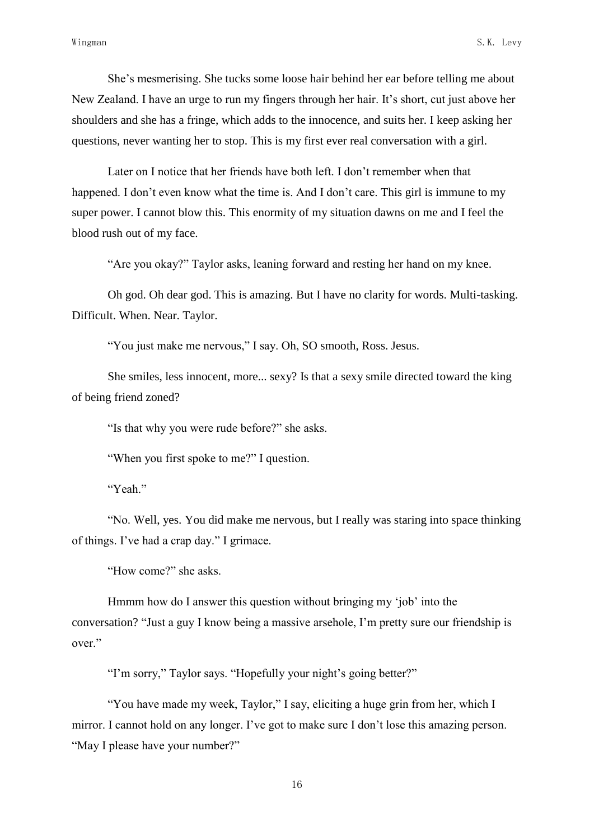She"s mesmerising. She tucks some loose hair behind her ear before telling me about New Zealand. I have an urge to run my fingers through her hair. It's short, cut just above her shoulders and she has a fringe, which adds to the innocence, and suits her. I keep asking her questions, never wanting her to stop. This is my first ever real conversation with a girl.

Later on I notice that her friends have both left. I don"t remember when that happened. I don't even know what the time is. And I don't care. This girl is immune to my super power. I cannot blow this. This enormity of my situation dawns on me and I feel the blood rush out of my face.

"Are you okay?" Taylor asks, leaning forward and resting her hand on my knee.

Oh god. Oh dear god. This is amazing. But I have no clarity for words. Multi-tasking. Difficult. When. Near. Taylor.

"You just make me nervous," I say. Oh, SO smooth, Ross. Jesus.

She smiles, less innocent, more... sexy? Is that a sexy smile directed toward the king of being friend zoned?

"Is that why you were rude before?" she asks.

"When you first spoke to me?" I question.

"Yeah"

"No. Well, yes. You did make me nervous, but I really was staring into space thinking of things. I"ve had a crap day." I grimace.

"How come?" she asks.

Hmmm how do I answer this question without bringing my 'job' into the conversation? "Just a guy I know being a massive arsehole, I"m pretty sure our friendship is over."

"I'm sorry," Taylor says. "Hopefully your night's going better?"

"You have made my week, Taylor," I say, eliciting a huge grin from her, which I mirror. I cannot hold on any longer. I've got to make sure I don't lose this amazing person. "May I please have your number?"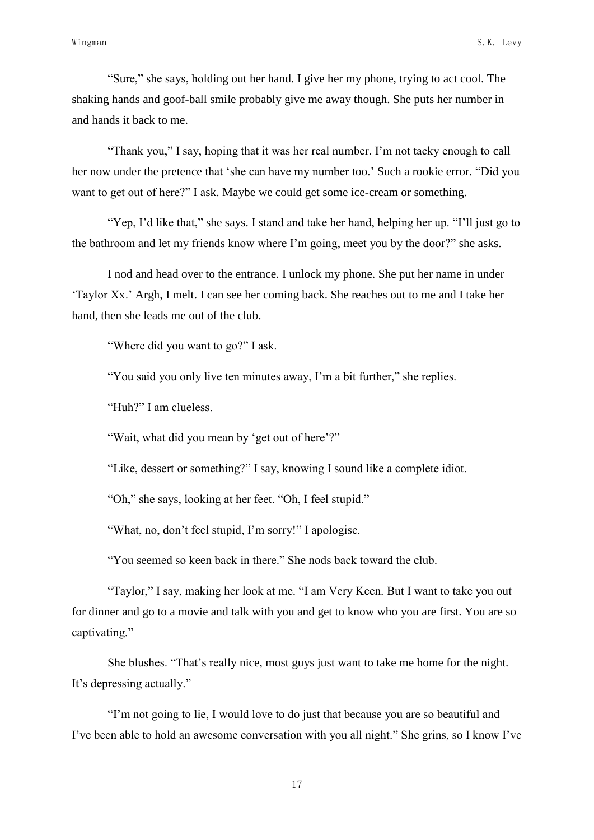"Sure," she says, holding out her hand. I give her my phone, trying to act cool. The shaking hands and goof-ball smile probably give me away though. She puts her number in and hands it back to me.

"Thank you," I say, hoping that it was her real number. I"m not tacky enough to call her now under the pretence that "she can have my number too." Such a rookie error. "Did you want to get out of here?" I ask. Maybe we could get some ice-cream or something.

"Yep, I'd like that," she says. I stand and take her hand, helping her up. "I'll just go to the bathroom and let my friends know where I"m going, meet you by the door?" she asks.

I nod and head over to the entrance. I unlock my phone. She put her name in under "Taylor Xx." Argh, I melt. I can see her coming back. She reaches out to me and I take her hand, then she leads me out of the club.

"Where did you want to go?" I ask.

"You said you only live ten minutes away, I"m a bit further," she replies.

"Huh?" I am clueless.

"Wait, what did you mean by 'get out of here'?"

"Like, dessert or something?" I say, knowing I sound like a complete idiot.

"Oh," she says, looking at her feet. "Oh, I feel stupid."

"What, no, don"t feel stupid, I"m sorry!" I apologise.

"You seemed so keen back in there." She nods back toward the club.

"Taylor," I say, making her look at me. "I am Very Keen. But I want to take you out for dinner and go to a movie and talk with you and get to know who you are first. You are so captivating."

She blushes. "That"s really nice, most guys just want to take me home for the night. It's depressing actually."

"I"m not going to lie, I would love to do just that because you are so beautiful and I"ve been able to hold an awesome conversation with you all night." She grins, so I know I"ve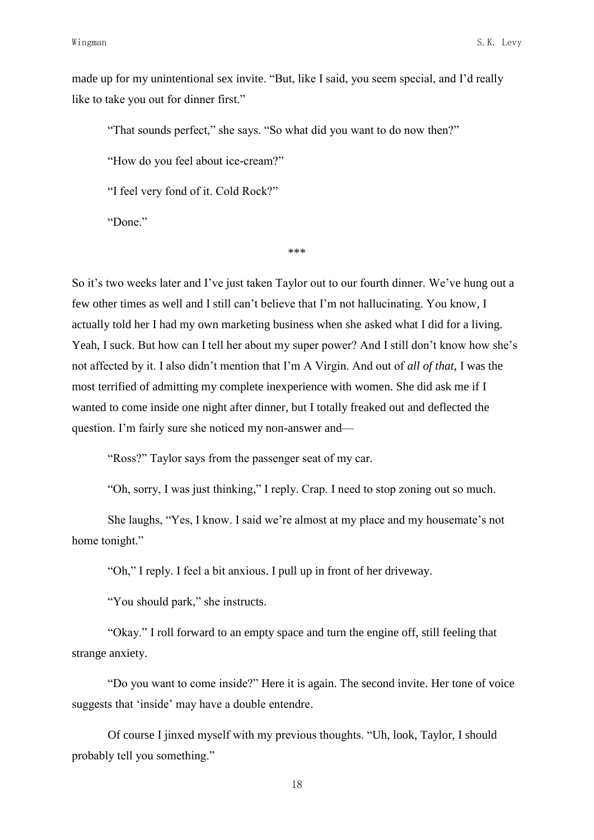made up for my unintentional sex invite. "But, like I said, you seem special, and I"d really like to take you out for dinner first."

"That sounds perfect," she says. "So what did you want to do now then?"

"How do you feel about ice-cream?"

"I feel very fond of it. Cold Rock?"

"Done."

\*\*\*

So it's two weeks later and I've just taken Taylor out to our fourth dinner. We've hung out a few other times as well and I still can"t believe that I"m not hallucinating. You know, I actually told her I had my own marketing business when she asked what I did for a living. Yeah, I suck. But how can I tell her about my super power? And I still don't know how she's not affected by it. I also didn"t mention that I"m A Virgin. And out of *all of that*, I was the most terrified of admitting my complete inexperience with women. She did ask me if I wanted to come inside one night after dinner, but I totally freaked out and deflected the question. I'm fairly sure she noticed my non-answer and—

"Ross?" Taylor says from the passenger seat of my car.

"Oh, sorry, I was just thinking," I reply. Crap. I need to stop zoning out so much.

She laughs, "Yes, I know. I said we're almost at my place and my housemate's not home tonight."

"Oh," I reply. I feel a bit anxious. I pull up in front of her driveway.

"You should park," she instructs.

"Okay." I roll forward to an empty space and turn the engine off, still feeling that strange anxiety.

"Do you want to come inside?" Here it is again. The second invite. Her tone of voice suggests that 'inside' may have a double entendre.

Of course I jinxed myself with my previous thoughts. "Uh, look, Taylor, I should probably tell you something."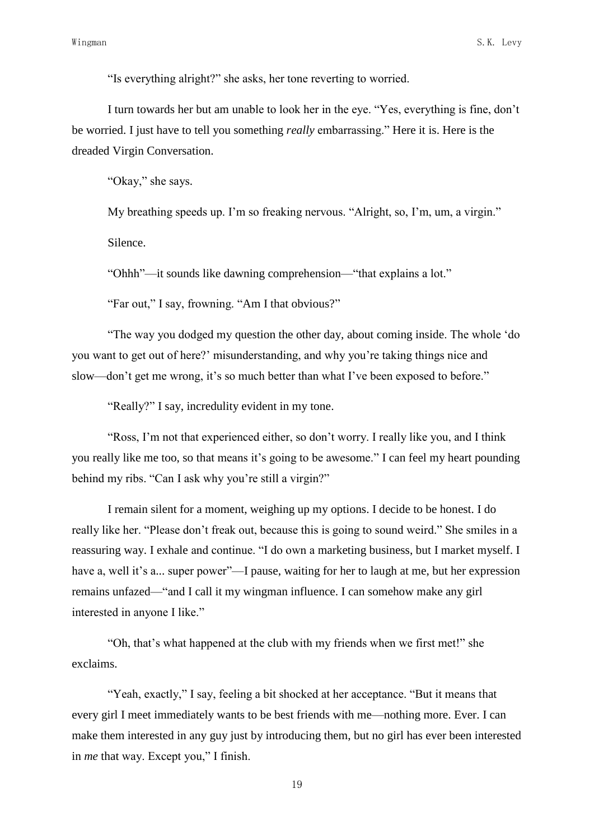"Is everything alright?" she asks, her tone reverting to worried.

I turn towards her but am unable to look her in the eye. "Yes, everything is fine, don"t be worried. I just have to tell you something *really* embarrassing." Here it is. Here is the dreaded Virgin Conversation.

"Okay," she says.

My breathing speeds up. I'm so freaking nervous. "Alright, so, I'm, um, a virgin."

Silence.

"Ohhh"—it sounds like dawning comprehension—"that explains a lot."

"Far out," I say, frowning. "Am I that obvious?"

"The way you dodged my question the other day, about coming inside. The whole "do you want to get out of here?" misunderstanding, and why you"re taking things nice and slow—don't get me wrong, it's so much better than what I've been exposed to before."

"Really?" I say, incredulity evident in my tone.

"Ross, I"m not that experienced either, so don"t worry. I really like you, and I think you really like me too, so that means it's going to be awesome." I can feel my heart pounding behind my ribs. "Can I ask why you're still a virgin?"

I remain silent for a moment, weighing up my options. I decide to be honest. I do really like her. "Please don"t freak out, because this is going to sound weird." She smiles in a reassuring way. I exhale and continue. "I do own a marketing business, but I market myself. I have a, well it's a... super power"—I pause, waiting for her to laugh at me, but her expression remains unfazed—"and I call it my wingman influence. I can somehow make any girl interested in anyone I like."

"Oh, that"s what happened at the club with my friends when we first met!" she exclaims.

"Yeah, exactly," I say, feeling a bit shocked at her acceptance. "But it means that every girl I meet immediately wants to be best friends with me—nothing more. Ever. I can make them interested in any guy just by introducing them, but no girl has ever been interested in *me* that way. Except you," I finish.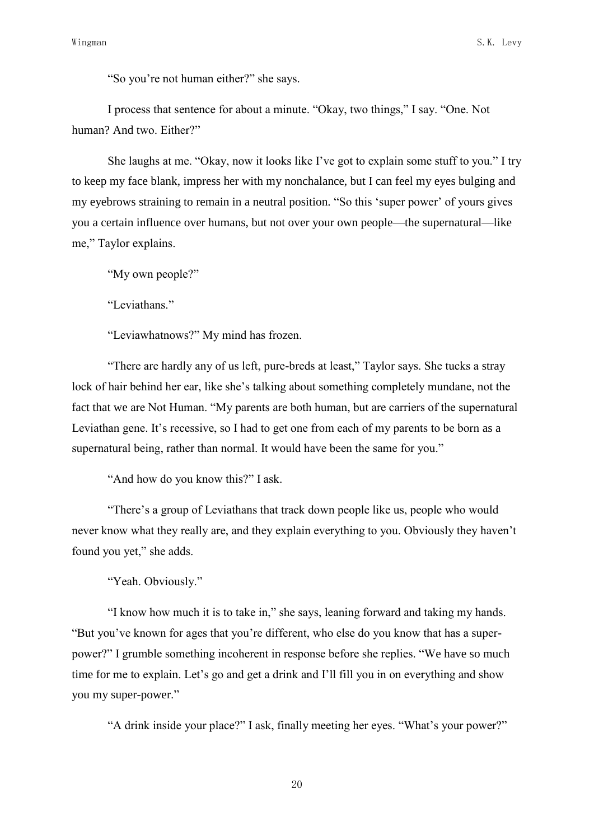"So you"re not human either?" she says.

I process that sentence for about a minute. "Okay, two things," I say. "One. Not human? And two. Either?"

She laughs at me. "Okay, now it looks like I"ve got to explain some stuff to you." I try to keep my face blank, impress her with my nonchalance, but I can feel my eyes bulging and my eyebrows straining to remain in a neutral position. "So this "super power" of yours gives you a certain influence over humans, but not over your own people—the supernatural—like me," Taylor explains.

"My own people?"

"Leviathans."

"Leviawhatnows?" My mind has frozen.

"There are hardly any of us left, pure-breds at least," Taylor says. She tucks a stray lock of hair behind her ear, like she's talking about something completely mundane, not the fact that we are Not Human. "My parents are both human, but are carriers of the supernatural Leviathan gene. It's recessive, so I had to get one from each of my parents to be born as a supernatural being, rather than normal. It would have been the same for you."

"And how do you know this?" I ask.

"There's a group of Leviathans that track down people like us, people who would never know what they really are, and they explain everything to you. Obviously they haven"t found you yet," she adds.

"Yeah. Obviously."

"I know how much it is to take in," she says, leaning forward and taking my hands. "But you"ve known for ages that you"re different, who else do you know that has a superpower?" I grumble something incoherent in response before she replies. "We have so much time for me to explain. Let's go and get a drink and I'll fill you in on everything and show you my super-power."

"A drink inside your place?" I ask, finally meeting her eyes. "What"s your power?"